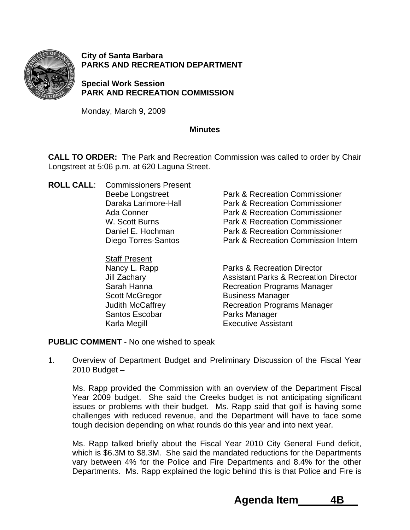

**City of Santa Barbara PARKS AND RECREATION DEPARTMENT** 

**Special Work Session PARK AND RECREATION COMMISSION** 

Monday, March 9, 2009

## **Minutes**

**CALL TO ORDER:** The Park and Recreation Commission was called to order by Chair Longstreet at 5:06 p.m. at 620 Laguna Street.

- **ROLL CALL**: Commissioners Present
	- Staff Present Santos Escobar **Parks Manager**

Beebe Longstreet **Park & Recreation Commissioner**  Daraka Larimore-Hall Park & Recreation Commissioner Ada Conner **Park & Recreation Commissioner** W. Scott Burns **Park & Recreation Commissioner**  Daniel E. Hochman Park & Recreation Commissioner Diego Torres-Santos Park & Recreation Commission Intern

Nancy L. Rapp Parks & Recreation Director Jill Zachary Assistant Parks & Recreation Director Sarah Hanna **Recreation Programs Manager** Scott McGregor Business Manager Judith McCaffrey **Recreation Programs Manager** Karla Megill **Executive Assistant** 

## **PUBLIC COMMENT** - No one wished to speak

1. Overview of Department Budget and Preliminary Discussion of the Fiscal Year 2010 Budget –

Ms. Rapp provided the Commission with an overview of the Department Fiscal Year 2009 budget. She said the Creeks budget is not anticipating significant issues or problems with their budget. Ms. Rapp said that golf is having some challenges with reduced revenue, and the Department will have to face some tough decision depending on what rounds do this year and into next year.

Ms. Rapp talked briefly about the Fiscal Year 2010 City General Fund deficit, which is \$6.3M to \$8.3M. She said the mandated reductions for the Departments vary between 4% for the Police and Fire Departments and 8.4% for the other Departments. Ms. Rapp explained the logic behind this is that Police and Fire is

 **Agenda Item 4B**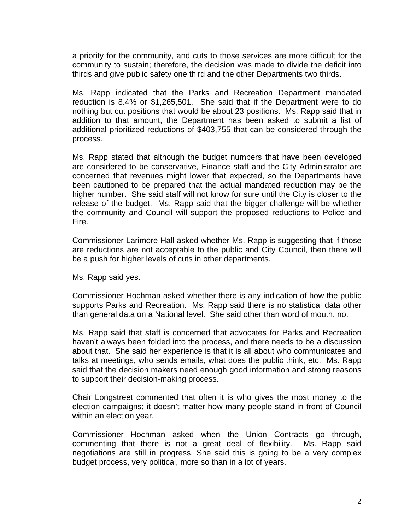a priority for the community, and cuts to those services are more difficult for the community to sustain; therefore, the decision was made to divide the deficit into thirds and give public safety one third and the other Departments two thirds.

Ms. Rapp indicated that the Parks and Recreation Department mandated reduction is 8.4% or \$1,265,501. She said that if the Department were to do nothing but cut positions that would be about 23 positions. Ms. Rapp said that in addition to that amount, the Department has been asked to submit a list of additional prioritized reductions of \$403,755 that can be considered through the process.

Ms. Rapp stated that although the budget numbers that have been developed are considered to be conservative, Finance staff and the City Administrator are concerned that revenues might lower that expected, so the Departments have been cautioned to be prepared that the actual mandated reduction may be the higher number. She said staff will not know for sure until the City is closer to the release of the budget. Ms. Rapp said that the bigger challenge will be whether the community and Council will support the proposed reductions to Police and Fire.

Commissioner Larimore-Hall asked whether Ms. Rapp is suggesting that if those are reductions are not acceptable to the public and City Council, then there will be a push for higher levels of cuts in other departments.

Ms. Rapp said yes.

Commissioner Hochman asked whether there is any indication of how the public supports Parks and Recreation. Ms. Rapp said there is no statistical data other than general data on a National level. She said other than word of mouth, no.

Ms. Rapp said that staff is concerned that advocates for Parks and Recreation haven't always been folded into the process, and there needs to be a discussion about that. She said her experience is that it is all about who communicates and talks at meetings, who sends emails, what does the public think, etc. Ms. Rapp said that the decision makers need enough good information and strong reasons to support their decision-making process.

Chair Longstreet commented that often it is who gives the most money to the election campaigns; it doesn't matter how many people stand in front of Council within an election year.

Commissioner Hochman asked when the Union Contracts go through, commenting that there is not a great deal of flexibility. Ms. Rapp said negotiations are still in progress. She said this is going to be a very complex budget process, very political, more so than in a lot of years.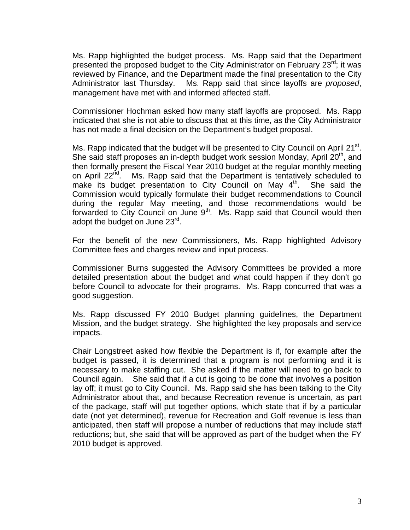Ms. Rapp highlighted the budget process. Ms. Rapp said that the Department presented the proposed budget to the City Administrator on February  $23^{rd}$ ; it was reviewed by Finance, and the Department made the final presentation to the City Administrator last Thursday. Ms. Rapp said that since layoffs are *proposed*, management have met with and informed affected staff.

Commissioner Hochman asked how many staff layoffs are proposed. Ms. Rapp indicated that she is not able to discuss that at this time, as the City Administrator has not made a final decision on the Department's budget proposal.

Ms. Rapp indicated that the budget will be presented to City Council on April 21 $^{\text{st}}$ . She said staff proposes an in-depth budget work session Monday, April  $20<sup>th</sup>$ , and then formally present the Fiscal Year 2010 budget at the regular monthly meeting on April 22<sup>nd</sup>. Ms. Rapp said that the Department is tentatively scheduled to make its budget presentation to City Council on May  $4<sup>th</sup>$ . She said the Commission would typically formulate their budget recommendations to Council during the regular May meeting, and those recommendations would be forwarded to City Council on June  $9<sup>th</sup>$ . Ms. Rapp said that Council would then adopt the budget on June 23<sup>rd</sup>.

For the benefit of the new Commissioners, Ms. Rapp highlighted Advisory Committee fees and charges review and input process.

Commissioner Burns suggested the Advisory Committees be provided a more detailed presentation about the budget and what could happen if they don't go before Council to advocate for their programs. Ms. Rapp concurred that was a good suggestion.

Ms. Rapp discussed FY 2010 Budget planning guidelines, the Department Mission, and the budget strategy. She highlighted the key proposals and service impacts.

Chair Longstreet asked how flexible the Department is if, for example after the budget is passed, it is determined that a program is not performing and it is necessary to make staffing cut. She asked if the matter will need to go back to Council again. She said that if a cut is going to be done that involves a position lay off; it must go to City Council. Ms. Rapp said she has been talking to the City Administrator about that, and because Recreation revenue is uncertain, as part of the package, staff will put together options, which state that if by a particular date (not yet determined), revenue for Recreation and Golf revenue is less than anticipated, then staff will propose a number of reductions that may include staff reductions; but, she said that will be approved as part of the budget when the FY 2010 budget is approved.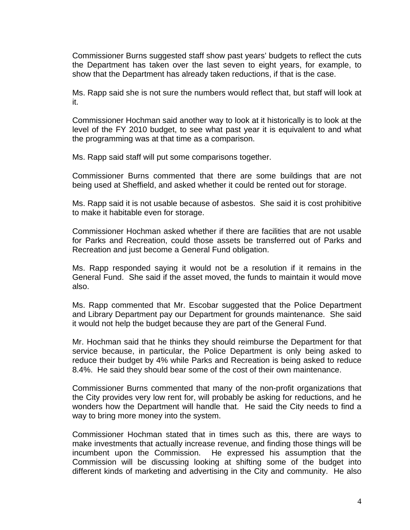Commissioner Burns suggested staff show past years' budgets to reflect the cuts the Department has taken over the last seven to eight years, for example, to show that the Department has already taken reductions, if that is the case.

Ms. Rapp said she is not sure the numbers would reflect that, but staff will look at it.

Commissioner Hochman said another way to look at it historically is to look at the level of the FY 2010 budget, to see what past year it is equivalent to and what the programming was at that time as a comparison.

Ms. Rapp said staff will put some comparisons together.

Commissioner Burns commented that there are some buildings that are not being used at Sheffield, and asked whether it could be rented out for storage.

Ms. Rapp said it is not usable because of asbestos. She said it is cost prohibitive to make it habitable even for storage.

Commissioner Hochman asked whether if there are facilities that are not usable for Parks and Recreation, could those assets be transferred out of Parks and Recreation and just become a General Fund obligation.

Ms. Rapp responded saying it would not be a resolution if it remains in the General Fund. She said if the asset moved, the funds to maintain it would move also.

Ms. Rapp commented that Mr. Escobar suggested that the Police Department and Library Department pay our Department for grounds maintenance. She said it would not help the budget because they are part of the General Fund.

Mr. Hochman said that he thinks they should reimburse the Department for that service because, in particular, the Police Department is only being asked to reduce their budget by 4% while Parks and Recreation is being asked to reduce 8.4%. He said they should bear some of the cost of their own maintenance.

Commissioner Burns commented that many of the non-profit organizations that the City provides very low rent for, will probably be asking for reductions, and he wonders how the Department will handle that. He said the City needs to find a way to bring more money into the system.

Commissioner Hochman stated that in times such as this, there are ways to make investments that actually increase revenue, and finding those things will be incumbent upon the Commission. He expressed his assumption that the Commission will be discussing looking at shifting some of the budget into different kinds of marketing and advertising in the City and community. He also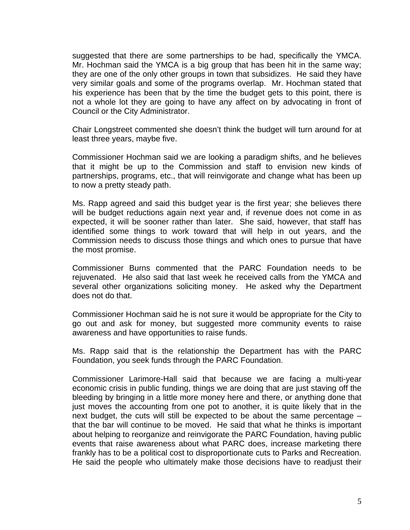suggested that there are some partnerships to be had, specifically the YMCA. Mr. Hochman said the YMCA is a big group that has been hit in the same way; they are one of the only other groups in town that subsidizes. He said they have very similar goals and some of the programs overlap. Mr. Hochman stated that his experience has been that by the time the budget gets to this point, there is not a whole lot they are going to have any affect on by advocating in front of Council or the City Administrator.

Chair Longstreet commented she doesn't think the budget will turn around for at least three years, maybe five.

Commissioner Hochman said we are looking a paradigm shifts, and he believes that it might be up to the Commission and staff to envision new kinds of partnerships, programs, etc., that will reinvigorate and change what has been up to now a pretty steady path.

Ms. Rapp agreed and said this budget year is the first year; she believes there will be budget reductions again next year and, if revenue does not come in as expected, it will be sooner rather than later. She said, however, that staff has identified some things to work toward that will help in out years, and the Commission needs to discuss those things and which ones to pursue that have the most promise.

Commissioner Burns commented that the PARC Foundation needs to be rejuvenated. He also said that last week he received calls from the YMCA and several other organizations soliciting money. He asked why the Department does not do that.

Commissioner Hochman said he is not sure it would be appropriate for the City to go out and ask for money, but suggested more community events to raise awareness and have opportunities to raise funds.

Ms. Rapp said that is the relationship the Department has with the PARC Foundation, you seek funds through the PARC Foundation.

Commissioner Larimore-Hall said that because we are facing a multi-year economic crisis in public funding, things we are doing that are just staving off the bleeding by bringing in a little more money here and there, or anything done that just moves the accounting from one pot to another, it is quite likely that in the next budget, the cuts will still be expected to be about the same percentage – that the bar will continue to be moved. He said that what he thinks is important about helping to reorganize and reinvigorate the PARC Foundation, having public events that raise awareness about what PARC does, increase marketing there frankly has to be a political cost to disproportionate cuts to Parks and Recreation. He said the people who ultimately make those decisions have to readjust their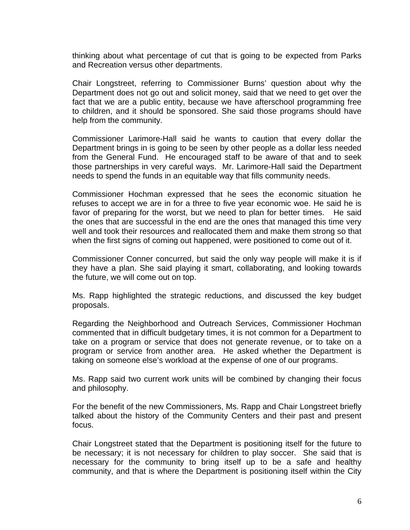thinking about what percentage of cut that is going to be expected from Parks and Recreation versus other departments.

Chair Longstreet, referring to Commissioner Burns' question about why the Department does not go out and solicit money, said that we need to get over the fact that we are a public entity, because we have afterschool programming free to children, and it should be sponsored. She said those programs should have help from the community.

Commissioner Larimore-Hall said he wants to caution that every dollar the Department brings in is going to be seen by other people as a dollar less needed from the General Fund. He encouraged staff to be aware of that and to seek those partnerships in very careful ways. Mr. Larimore-Hall said the Department needs to spend the funds in an equitable way that fills community needs.

Commissioner Hochman expressed that he sees the economic situation he refuses to accept we are in for a three to five year economic woe. He said he is favor of preparing for the worst, but we need to plan for better times. He said the ones that are successful in the end are the ones that managed this time very well and took their resources and reallocated them and make them strong so that when the first signs of coming out happened, were positioned to come out of it.

Commissioner Conner concurred, but said the only way people will make it is if they have a plan. She said playing it smart, collaborating, and looking towards the future, we will come out on top.

Ms. Rapp highlighted the strategic reductions, and discussed the key budget proposals.

Regarding the Neighborhood and Outreach Services, Commissioner Hochman commented that in difficult budgetary times, it is not common for a Department to take on a program or service that does not generate revenue, or to take on a program or service from another area. He asked whether the Department is taking on someone else's workload at the expense of one of our programs.

Ms. Rapp said two current work units will be combined by changing their focus and philosophy.

For the benefit of the new Commissioners, Ms. Rapp and Chair Longstreet briefly talked about the history of the Community Centers and their past and present focus.

Chair Longstreet stated that the Department is positioning itself for the future to be necessary; it is not necessary for children to play soccer. She said that is necessary for the community to bring itself up to be a safe and healthy community, and that is where the Department is positioning itself within the City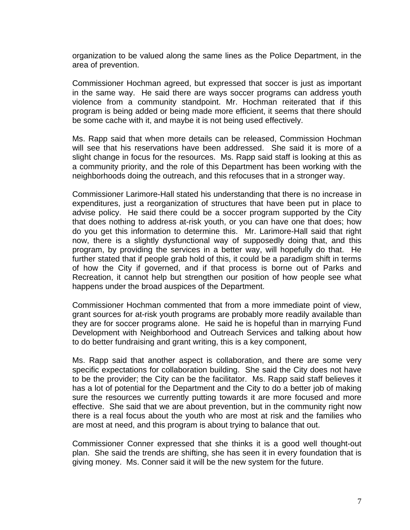organization to be valued along the same lines as the Police Department, in the area of prevention.

Commissioner Hochman agreed, but expressed that soccer is just as important in the same way. He said there are ways soccer programs can address youth violence from a community standpoint. Mr. Hochman reiterated that if this program is being added or being made more efficient, it seems that there should be some cache with it, and maybe it is not being used effectively.

Ms. Rapp said that when more details can be released, Commission Hochman will see that his reservations have been addressed. She said it is more of a slight change in focus for the resources. Ms. Rapp said staff is looking at this as a community priority, and the role of this Department has been working with the neighborhoods doing the outreach, and this refocuses that in a stronger way.

Commissioner Larimore-Hall stated his understanding that there is no increase in expenditures, just a reorganization of structures that have been put in place to advise policy. He said there could be a soccer program supported by the City that does nothing to address at-risk youth, or you can have one that does; how do you get this information to determine this. Mr. Larimore-Hall said that right now, there is a slightly dysfunctional way of supposedly doing that, and this program, by providing the services in a better way, will hopefully do that. He further stated that if people grab hold of this, it could be a paradigm shift in terms of how the City if governed, and if that process is borne out of Parks and Recreation, it cannot help but strengthen our position of how people see what happens under the broad auspices of the Department.

Commissioner Hochman commented that from a more immediate point of view, grant sources for at-risk youth programs are probably more readily available than they are for soccer programs alone. He said he is hopeful than in marrying Fund Development with Neighborhood and Outreach Services and talking about how to do better fundraising and grant writing, this is a key component,

Ms. Rapp said that another aspect is collaboration, and there are some very specific expectations for collaboration building. She said the City does not have to be the provider; the City can be the facilitator. Ms. Rapp said staff believes it has a lot of potential for the Department and the City to do a better job of making sure the resources we currently putting towards it are more focused and more effective. She said that we are about prevention, but in the community right now there is a real focus about the youth who are most at risk and the families who are most at need, and this program is about trying to balance that out.

Commissioner Conner expressed that she thinks it is a good well thought-out plan. She said the trends are shifting, she has seen it in every foundation that is giving money. Ms. Conner said it will be the new system for the future.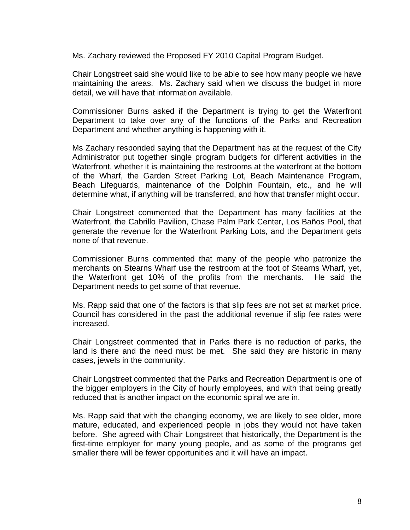Ms. Zachary reviewed the Proposed FY 2010 Capital Program Budget.

Chair Longstreet said she would like to be able to see how many people we have maintaining the areas. Ms. Zachary said when we discuss the budget in more detail, we will have that information available.

Commissioner Burns asked if the Department is trying to get the Waterfront Department to take over any of the functions of the Parks and Recreation Department and whether anything is happening with it.

Ms Zachary responded saying that the Department has at the request of the City Administrator put together single program budgets for different activities in the Waterfront, whether it is maintaining the restrooms at the waterfront at the bottom of the Wharf, the Garden Street Parking Lot, Beach Maintenance Program, Beach Lifeguards, maintenance of the Dolphin Fountain, etc., and he will determine what, if anything will be transferred, and how that transfer might occur.

Chair Longstreet commented that the Department has many facilities at the Waterfront, the Cabrillo Pavilion, Chase Palm Park Center, Los Baños Pool, that generate the revenue for the Waterfront Parking Lots, and the Department gets none of that revenue.

Commissioner Burns commented that many of the people who patronize the merchants on Stearns Wharf use the restroom at the foot of Stearns Wharf, yet, the Waterfront get 10% of the profits from the merchants. He said the Department needs to get some of that revenue.

Ms. Rapp said that one of the factors is that slip fees are not set at market price. Council has considered in the past the additional revenue if slip fee rates were increased.

Chair Longstreet commented that in Parks there is no reduction of parks, the land is there and the need must be met. She said they are historic in many cases, jewels in the community.

Chair Longstreet commented that the Parks and Recreation Department is one of the bigger employers in the City of hourly employees, and with that being greatly reduced that is another impact on the economic spiral we are in.

Ms. Rapp said that with the changing economy, we are likely to see older, more mature, educated, and experienced people in jobs they would not have taken before. She agreed with Chair Longstreet that historically, the Department is the first-time employer for many young people, and as some of the programs get smaller there will be fewer opportunities and it will have an impact.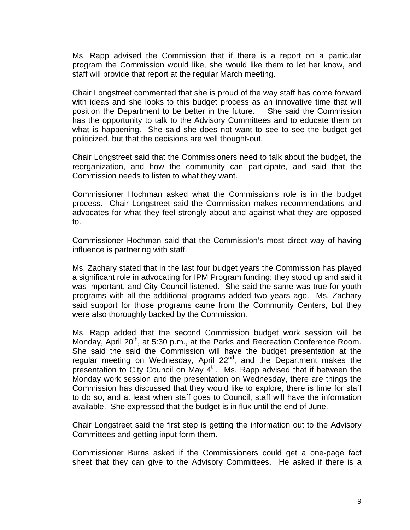Ms. Rapp advised the Commission that if there is a report on a particular program the Commission would like, she would like them to let her know, and staff will provide that report at the regular March meeting.

Chair Longstreet commented that she is proud of the way staff has come forward with ideas and she looks to this budget process as an innovative time that will position the Department to be better in the future. She said the Commission has the opportunity to talk to the Advisory Committees and to educate them on what is happening. She said she does not want to see to see the budget get politicized, but that the decisions are well thought-out.

Chair Longstreet said that the Commissioners need to talk about the budget, the reorganization, and how the community can participate, and said that the Commission needs to listen to what they want.

Commissioner Hochman asked what the Commission's role is in the budget process. Chair Longstreet said the Commission makes recommendations and advocates for what they feel strongly about and against what they are opposed to.

Commissioner Hochman said that the Commission's most direct way of having influence is partnering with staff.

Ms. Zachary stated that in the last four budget years the Commission has played a significant role in advocating for IPM Program funding; they stood up and said it was important, and City Council listened. She said the same was true for youth programs with all the additional programs added two years ago. Ms. Zachary said support for those programs came from the Community Centers, but they were also thoroughly backed by the Commission.

Ms. Rapp added that the second Commission budget work session will be Monday, April  $20<sup>th</sup>$ , at 5:30 p.m., at the Parks and Recreation Conference Room. She said the said the Commission will have the budget presentation at the regular meeting on Wednesday, April 22<sup>nd</sup>, and the Department makes the presentation to City Council on May 4<sup>th</sup>. Ms. Rapp advised that if between the Monday work session and the presentation on Wednesday, there are things the Commission has discussed that they would like to explore, there is time for staff to do so, and at least when staff goes to Council, staff will have the information available. She expressed that the budget is in flux until the end of June.

Chair Longstreet said the first step is getting the information out to the Advisory Committees and getting input form them.

Commissioner Burns asked if the Commissioners could get a one-page fact sheet that they can give to the Advisory Committees. He asked if there is a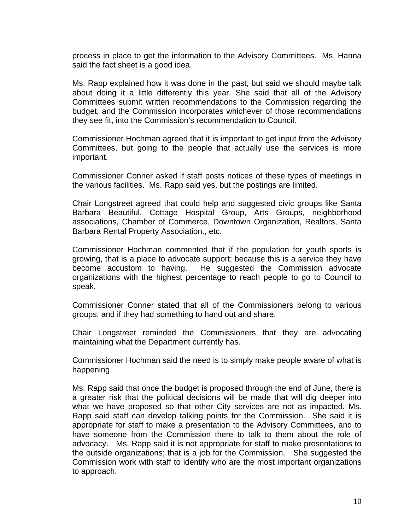process in place to get the information to the Advisory Committees. Ms. Hanna said the fact sheet is a good idea.

Ms. Rapp explained how it was done in the past, but said we should maybe talk about doing it a little differently this year. She said that all of the Advisory Committees submit written recommendations to the Commission regarding the budget, and the Commission incorporates whichever of those recommendations they see fit, into the Commission's recommendation to Council.

Commissioner Hochman agreed that it is important to get input from the Advisory Committees, but going to the people that actually use the services is more important.

Commissioner Conner asked if staff posts notices of these types of meetings in the various facilities. Ms. Rapp said yes, but the postings are limited.

 Chair Longstreet agreed that could help and suggested civic groups like Santa Barbara Beautiful, Cottage Hospital Group, Arts Groups, neighborhood associations, Chamber of Commerce, Downtown Organization, Realtors, Santa Barbara Rental Property Association., etc.

Commissioner Hochman commented that if the population for youth sports is growing, that is a place to advocate support; because this is a service they have become accustom to having. He suggested the Commission advocate organizations with the highest percentage to reach people to go to Council to speak.

Commissioner Conner stated that all of the Commissioners belong to various groups, and if they had something to hand out and share.

Chair Longstreet reminded the Commissioners that they are advocating maintaining what the Department currently has.

Commissioner Hochman said the need is to simply make people aware of what is happening.

Ms. Rapp said that once the budget is proposed through the end of June, there is a greater risk that the political decisions will be made that will dig deeper into what we have proposed so that other City services are not as impacted. Ms. Rapp said staff can develop talking points for the Commission. She said it is appropriate for staff to make a presentation to the Advisory Committees, and to have someone from the Commission there to talk to them about the role of advocacy. Ms. Rapp said it is not appropriate for staff to make presentations to the outside organizations; that is a job for the Commission. She suggested the Commission work with staff to identify who are the most important organizations to approach.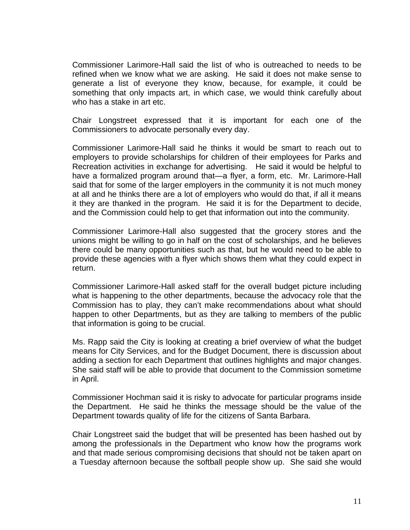Commissioner Larimore-Hall said the list of who is outreached to needs to be refined when we know what we are asking. He said it does not make sense to generate a list of everyone they know, because, for example, it could be something that only impacts art, in which case, we would think carefully about who has a stake in art etc.

Chair Longstreet expressed that it is important for each one of the Commissioners to advocate personally every day.

Commissioner Larimore-Hall said he thinks it would be smart to reach out to employers to provide scholarships for children of their employees for Parks and Recreation activities in exchange for advertising. He said it would be helpful to have a formalized program around that—a flyer, a form, etc. Mr. Larimore-Hall said that for some of the larger employers in the community it is not much money at all and he thinks there are a lot of employers who would do that, if all it means it they are thanked in the program. He said it is for the Department to decide, and the Commission could help to get that information out into the community.

Commissioner Larimore-Hall also suggested that the grocery stores and the unions might be willing to go in half on the cost of scholarships, and he believes there could be many opportunities such as that, but he would need to be able to provide these agencies with a flyer which shows them what they could expect in return.

Commissioner Larimore-Hall asked staff for the overall budget picture including what is happening to the other departments, because the advocacy role that the Commission has to play, they can't make recommendations about what should happen to other Departments, but as they are talking to members of the public that information is going to be crucial.

Ms. Rapp said the City is looking at creating a brief overview of what the budget means for City Services, and for the Budget Document, there is discussion about adding a section for each Department that outlines highlights and major changes. She said staff will be able to provide that document to the Commission sometime in April.

Commissioner Hochman said it is risky to advocate for particular programs inside the Department. He said he thinks the message should be the value of the Department towards quality of life for the citizens of Santa Barbara.

Chair Longstreet said the budget that will be presented has been hashed out by among the professionals in the Department who know how the programs work and that made serious compromising decisions that should not be taken apart on a Tuesday afternoon because the softball people show up. She said she would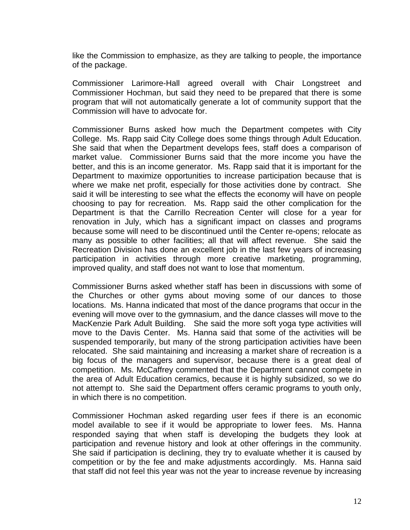like the Commission to emphasize, as they are talking to people, the importance of the package.

Commissioner Larimore-Hall agreed overall with Chair Longstreet and Commissioner Hochman, but said they need to be prepared that there is some program that will not automatically generate a lot of community support that the Commission will have to advocate for.

Commissioner Burns asked how much the Department competes with City College. Ms. Rapp said City College does some things through Adult Education. She said that when the Department develops fees, staff does a comparison of market value. Commissioner Burns said that the more income you have the better, and this is an income generator. Ms. Rapp said that it is important for the Department to maximize opportunities to increase participation because that is where we make net profit, especially for those activities done by contract. She said it will be interesting to see what the effects the economy will have on people choosing to pay for recreation. Ms. Rapp said the other complication for the Department is that the Carrillo Recreation Center will close for a year for renovation in July, which has a significant impact on classes and programs because some will need to be discontinued until the Center re-opens; relocate as many as possible to other facilities; all that will affect revenue. She said the Recreation Division has done an excellent job in the last few years of increasing participation in activities through more creative marketing, programming, improved quality, and staff does not want to lose that momentum.

Commissioner Burns asked whether staff has been in discussions with some of the Churches or other gyms about moving some of our dances to those locations. Ms. Hanna indicated that most of the dance programs that occur in the evening will move over to the gymnasium, and the dance classes will move to the MacKenzie Park Adult Building. She said the more soft yoga type activities will move to the Davis Center. Ms. Hanna said that some of the activities will be suspended temporarily, but many of the strong participation activities have been relocated. She said maintaining and increasing a market share of recreation is a big focus of the managers and supervisor, because there is a great deal of competition. Ms. McCaffrey commented that the Department cannot compete in the area of Adult Education ceramics, because it is highly subsidized, so we do not attempt to. She said the Department offers ceramic programs to youth only, in which there is no competition.

Commissioner Hochman asked regarding user fees if there is an economic model available to see if it would be appropriate to lower fees. Ms. Hanna responded saying that when staff is developing the budgets they look at participation and revenue history and look at other offerings in the community. She said if participation is declining, they try to evaluate whether it is caused by competition or by the fee and make adjustments accordingly. Ms. Hanna said that staff did not feel this year was not the year to increase revenue by increasing